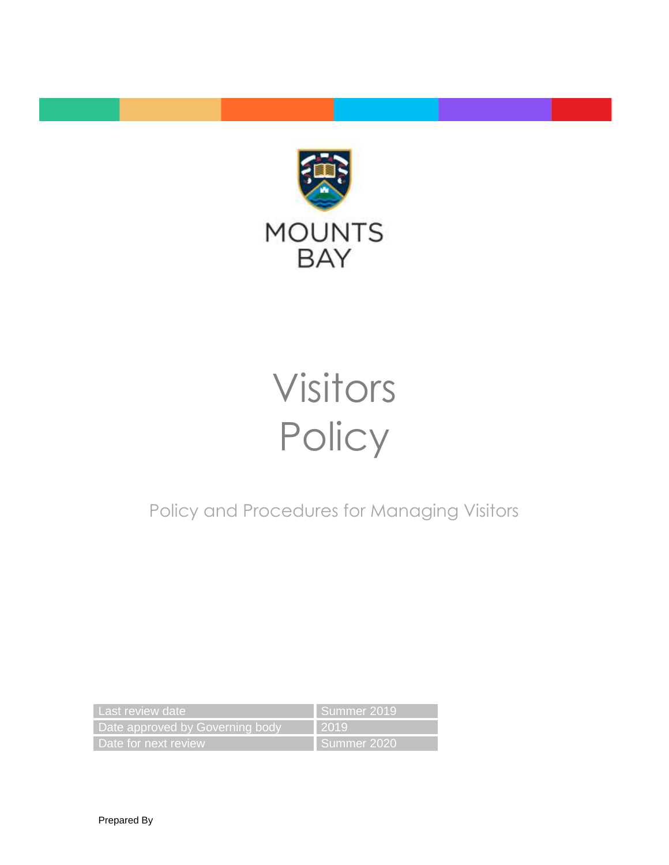

# Visitors **Policy**

Policy and Procedures for Managing Visitors

| Last review date                | Summer 2019 |
|---------------------------------|-------------|
| Date approved by Governing body | .2019       |
| Date for next review            | Summer 2020 |

Prepared By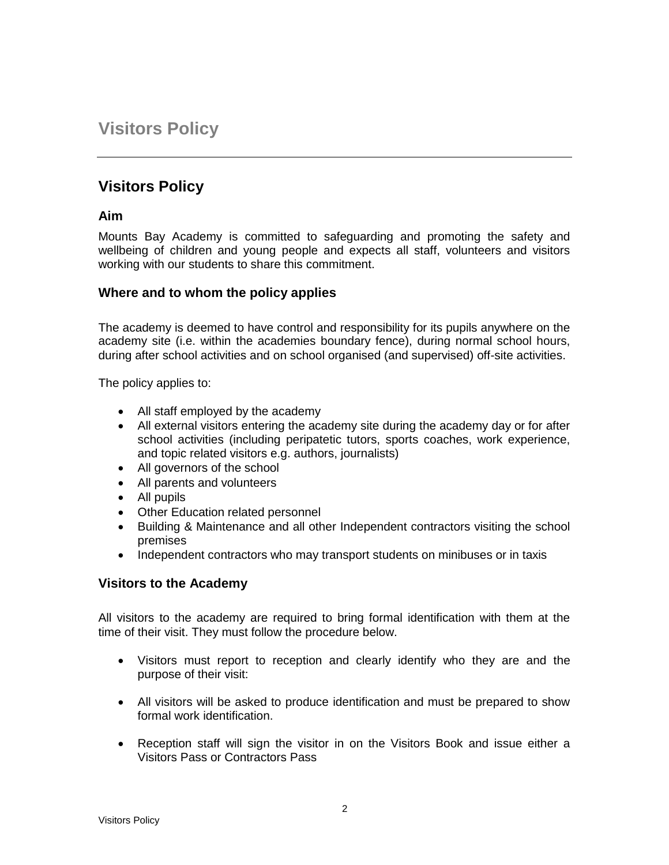## **Visitors Policy**

### **Visitors Policy**

#### **Aim**

Mounts Bay Academy is committed to safeguarding and promoting the safety and wellbeing of children and young people and expects all staff, volunteers and visitors working with our students to share this commitment.

#### **Where and to whom the policy applies**

The academy is deemed to have control and responsibility for its pupils anywhere on the academy site (i.e. within the academies boundary fence), during normal school hours, during after school activities and on school organised (and supervised) off-site activities.

The policy applies to:

- All staff employed by the academy
- All external visitors entering the academy site during the academy day or for after school activities (including peripatetic tutors, sports coaches, work experience, and topic related visitors e.g. authors, journalists)
- All governors of the school
- All parents and volunteers
- All pupils
- Other Education related personnel
- Building & Maintenance and all other Independent contractors visiting the school premises
- Independent contractors who may transport students on minibuses or in taxis

#### **Visitors to the Academy**

All visitors to the academy are required to bring formal identification with them at the time of their visit. They must follow the procedure below.

- Visitors must report to reception and clearly identify who they are and the purpose of their visit:
- All visitors will be asked to produce identification and must be prepared to show formal work identification.
- Reception staff will sign the visitor in on the Visitors Book and issue either a Visitors Pass or Contractors Pass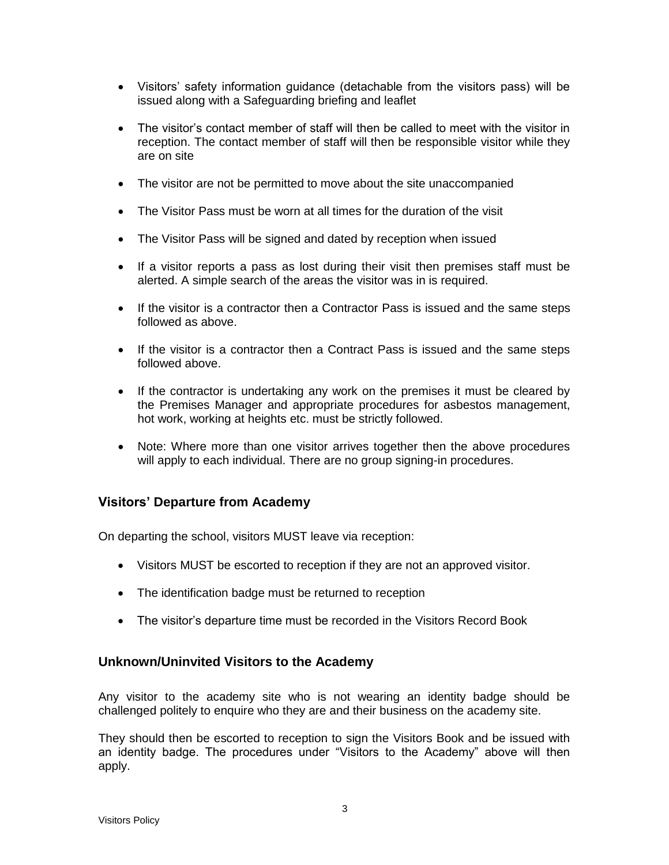- Visitors' safety information guidance (detachable from the visitors pass) will be issued along with a Safeguarding briefing and leaflet
- The visitor's contact member of staff will then be called to meet with the visitor in reception. The contact member of staff will then be responsible visitor while they are on site
- The visitor are not be permitted to move about the site unaccompanied
- The Visitor Pass must be worn at all times for the duration of the visit
- The Visitor Pass will be signed and dated by reception when issued
- If a visitor reports a pass as lost during their visit then premises staff must be alerted. A simple search of the areas the visitor was in is required.
- If the visitor is a contractor then a Contractor Pass is issued and the same steps followed as above.
- If the visitor is a contractor then a Contract Pass is issued and the same steps followed above.
- If the contractor is undertaking any work on the premises it must be cleared by the Premises Manager and appropriate procedures for asbestos management, hot work, working at heights etc. must be strictly followed.
- Note: Where more than one visitor arrives together then the above procedures will apply to each individual. There are no group signing-in procedures.

#### **Visitors' Departure from Academy**

On departing the school, visitors MUST leave via reception:

- Visitors MUST be escorted to reception if they are not an approved visitor.
- The identification badge must be returned to reception
- The visitor's departure time must be recorded in the Visitors Record Book

#### **Unknown/Uninvited Visitors to the Academy**

Any visitor to the academy site who is not wearing an identity badge should be challenged politely to enquire who they are and their business on the academy site.

They should then be escorted to reception to sign the Visitors Book and be issued with an identity badge. The procedures under "Visitors to the Academy" above will then apply.